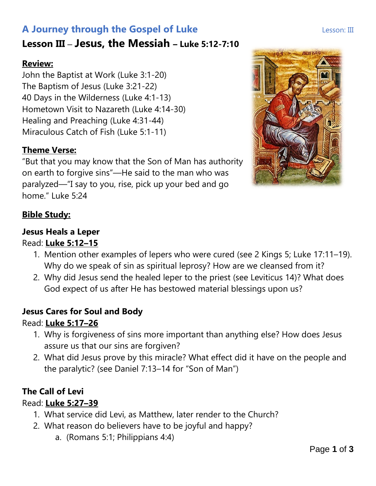# **A Journey through the Gospel of Luke Lesson: III** Lesson: III

# **Lesson III** – **Jesus, the Messiah – Luke 5:12-7:10**

## **Review:**

John the Baptist at Work (Luke 3:1-20) The Baptism of Jesus (Luke 3:21-22) 40 Days in the Wilderness (Luke 4:1-13) Hometown Visit to Nazareth (Luke 4:14-30) Healing and Preaching (Luke 4:31-44) Miraculous Catch of Fish (Luke 5:1-11)

## **Theme Verse:**

"But that you may know that the Son of Man has authority on earth to forgive sins"—He said to the man who was paralyzed—"I say to you, rise, pick up your bed and go home." Luke 5:24



## **Bible Study:**

## **Jesus Heals a Leper**

### Read: **Luke 5:12–15**

- 1. Mention other examples of lepers who were cured (see 2 Kings 5; Luke 17:11–19). Why do we speak of sin as spiritual leprosy? How are we cleansed from it?
- 2. Why did Jesus send the healed leper to the priest (see Leviticus 14)? What does God expect of us after He has bestowed material blessings upon us?

## **Jesus Cares for Soul and Body**

## Read: **Luke 5:17–26**

- 1. Why is forgiveness of sins more important than anything else? How does Jesus assure us that our sins are forgiven?
- 2. What did Jesus prove by this miracle? What effect did it have on the people and the paralytic? (see Daniel 7:13–14 for "Son of Man")

## **The Call of Levi**

## Read: **Luke 5:27–39**

- 1. What service did Levi, as Matthew, later render to the Church?
- 2. What reason do believers have to be joyful and happy?
	- a. (Romans 5:1; Philippians 4:4)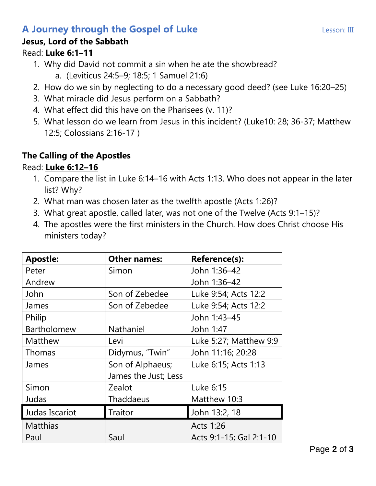# **A Journey through the Gospel of Luke Lesson: III** Lesson: III

### **Jesus, Lord of the Sabbath**

#### Read: **Luke 6:1–11**

- 1. Why did David not commit a sin when he ate the showbread?
	- a. (Leviticus 24:5–9; 18:5; 1 Samuel 21:6)
- 2. How do we sin by neglecting to do a necessary good deed? (see Luke 16:20–25)
- 3. What miracle did Jesus perform on a Sabbath?
- 4. What effect did this have on the Pharisees (v. 11)?
- 5. What lesson do we learn from Jesus in this incident? (Luke10: 28; 36-37; Matthew 12:5; Colossians 2:16-17 )

## **The Calling of the Apostles**

## Read: **Luke 6:12–16**

- 1. Compare the list in Luke 6:14–16 with Acts 1:13. Who does not appear in the later list? Why?
- 2. What man was chosen later as the twelfth apostle (Acts 1:26)?
- 3. What great apostle, called later, was not one of the Twelve (Acts 9:1–15)?
- 4. The apostles were the first ministers in the Church. How does Christ choose His ministers today?

| <b>Apostle:</b>    | <b>Other names:</b>  | <b>Reference(s):</b>    |
|--------------------|----------------------|-------------------------|
| Peter              | Simon                | John 1:36-42            |
| Andrew             |                      | John 1:36-42            |
| John               | Son of Zebedee       | Luke 9:54; Acts 12:2    |
| James              | Son of Zebedee       | Luke 9:54; Acts 12:2    |
| Philip             |                      | John 1:43-45            |
| <b>Bartholomew</b> | Nathaniel            | John 1:47               |
| Matthew            | Levi                 | Luke 5:27; Matthew 9:9  |
| Thomas             | Didymus, "Twin"      | John 11:16; 20:28       |
| James              | Son of Alphaeus;     | Luke 6:15; Acts 1:13    |
|                    | James the Just; Less |                         |
| Simon              | Zealot               | Luke 6:15               |
| Judas              | Thaddaeus            | Matthew 10:3            |
| Judas Iscariot     | Traitor              | John 13:2, 18           |
| <b>Matthias</b>    |                      | Acts 1:26               |
| Paul               | Saul                 | Acts 9:1-15; Gal 2:1-10 |